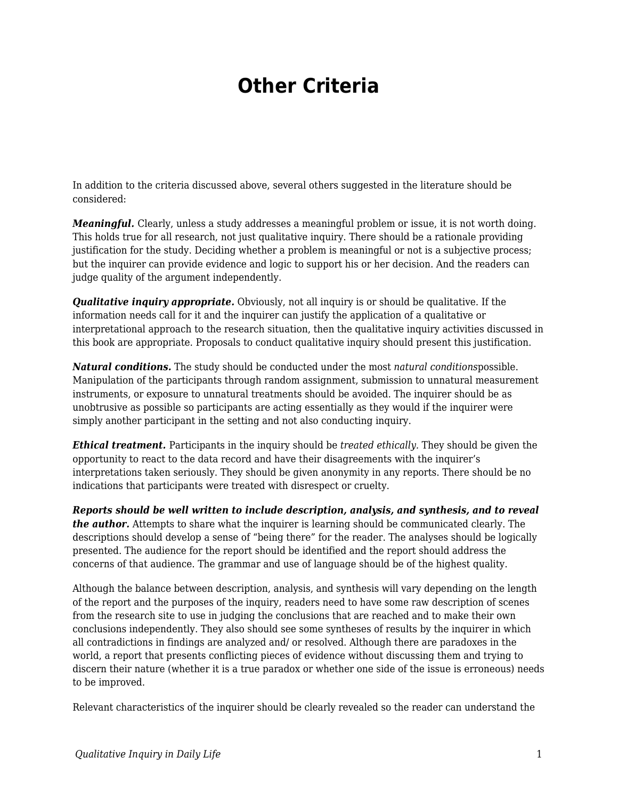## **Other Criteria**

In addition to the criteria discussed above, several others suggested in the literature should be considered:

*Meaningful.* Clearly, unless a study addresses a meaningful problem or issue, it is not worth doing. This holds true for all research, not just qualitative inquiry. There should be a rationale providing justification for the study. Deciding whether a problem is meaningful or not is a subjective process; but the inquirer can provide evidence and logic to support his or her decision. And the readers can judge quality of the argument independently.

*Qualitative inquiry appropriate.* Obviously, not all inquiry is or should be qualitative. If the information needs call for it and the inquirer can justify the application of a qualitative or interpretational approach to the research situation, then the qualitative inquiry activities discussed in this book are appropriate. Proposals to conduct qualitative inquiry should present this justification.

*Natural conditions.* The study should be conducted under the most *natural conditions*possible. Manipulation of the participants through random assignment, submission to unnatural measurement instruments, or exposure to unnatural treatments should be avoided. The inquirer should be as unobtrusive as possible so participants are acting essentially as they would if the inquirer were simply another participant in the setting and not also conducting inquiry.

*Ethical treatment.* Participants in the inquiry should be *treated ethically.* They should be given the opportunity to react to the data record and have their disagreements with the inquirer's interpretations taken seriously. They should be given anonymity in any reports. There should be no indications that participants were treated with disrespect or cruelty.

*Reports should be well written to include description, analysis, and synthesis, and to reveal the author.* Attempts to share what the inquirer is learning should be communicated clearly. The descriptions should develop a sense of "being there" for the reader. The analyses should be logically presented. The audience for the report should be identified and the report should address the concerns of that audience. The grammar and use of language should be of the highest quality.

Although the balance between description, analysis, and synthesis will vary depending on the length of the report and the purposes of the inquiry, readers need to have some raw description of scenes from the research site to use in judging the conclusions that are reached and to make their own conclusions independently. They also should see some syntheses of results by the inquirer in which all contradictions in findings are analyzed and/ or resolved. Although there are paradoxes in the world, a report that presents conflicting pieces of evidence without discussing them and trying to discern their nature (whether it is a true paradox or whether one side of the issue is erroneous) needs to be improved.

Relevant characteristics of the inquirer should be clearly revealed so the reader can understand the